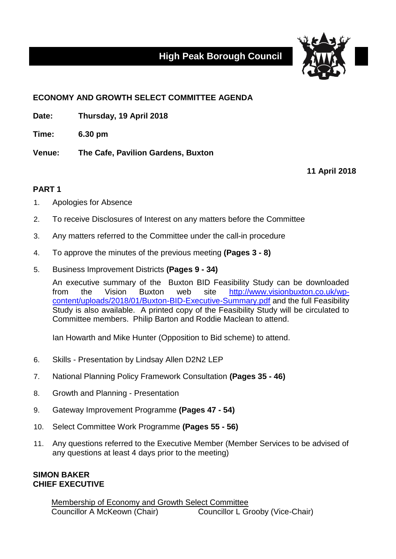## **High Peak Borough Council**



## **ECONOMY AND GROWTH SELECT COMMITTEE AGENDA**

**Date: Thursday, 19 April 2018**

**Time: 6.30 pm**

**Venue: The Cafe, Pavilion Gardens, Buxton**

**11 April 2018**

## **PART 1**

- 1. Apologies for Absence
- 2. To receive Disclosures of Interest on any matters before the Committee
- 3. Any matters referred to the Committee under the call-in procedure
- 4. To approve the minutes of the previous meeting **(Pages 3 - 8)**
- 5. Business Improvement Districts **(Pages 9 - 34)**

An executive summary of the Buxton BID Feasibility Study can be downloaded from the Vision Buxton web site [http://www.visionbuxton.co.uk/wp](http://www.visionbuxton.co.uk/wp-content/uploads/2018/01/Buxton-BID-Executive-Summary.pdf)[content/uploads/2018/01/Buxton-BID-Executive-Summary.pdf](http://www.visionbuxton.co.uk/wp-content/uploads/2018/01/Buxton-BID-Executive-Summary.pdf) and the full Feasibility Study is also available. A printed copy of the Feasibility Study will be circulated to Committee members. Philip Barton and Roddie Maclean to attend.

Ian Howarth and Mike Hunter (Opposition to Bid scheme) to attend.

- 6. Skills Presentation by Lindsay Allen D2N2 LEP
- 7. National Planning Policy Framework Consultation **(Pages 35 - 46)**
- 8. Growth and Planning Presentation
- 9. Gateway Improvement Programme **(Pages 47 - 54)**
- 10. Select Committee Work Programme **(Pages 55 - 56)**
- 11. Any questions referred to the Executive Member (Member Services to be advised of any questions at least 4 days prior to the meeting)

## **SIMON BAKER CHIEF EXECUTIVE**

Membership of Economy and Growth Select Committee Councillor A McKeown (Chair) Councillor L Grooby (Vice-Chair)